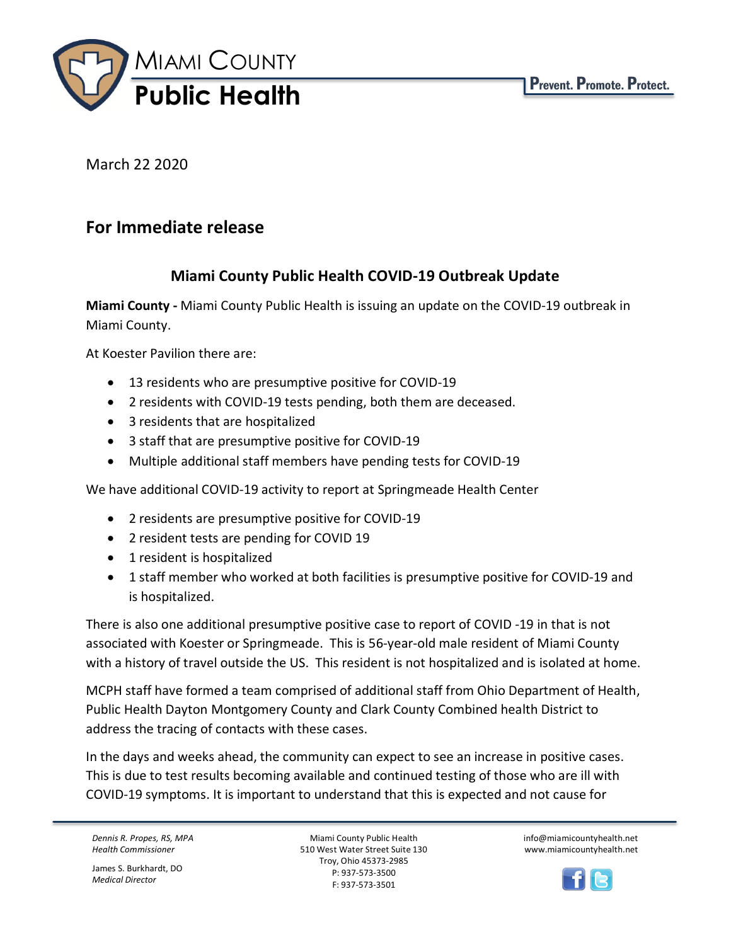

March 22 2020

## **For Immediate release**

## **Miami County Public Health COVID-19 Outbreak Update**

**Miami County -** Miami County Public Health is issuing an update on the COVID-19 outbreak in Miami County.

At Koester Pavilion there are:

- 13 residents who are presumptive positive for COVID-19
- 2 residents with COVID-19 tests pending, both them are deceased.
- 3 residents that are hospitalized
- 3 staff that are presumptive positive for COVID-19
- Multiple additional staff members have pending tests for COVID-19

We have additional COVID-19 activity to report at Springmeade Health Center

- 2 residents are presumptive positive for COVID-19
- 2 resident tests are pending for COVID 19
- 1 resident is hospitalized
- 1 staff member who worked at both facilities is presumptive positive for COVID-19 and is hospitalized.

There is also one additional presumptive positive case to report of COVID -19 in that is not associated with Koester or Springmeade. This is 56-year-old male resident of Miami County with a history of travel outside the US. This resident is not hospitalized and is isolated at home.

MCPH staff have formed a team comprised of additional staff from Ohio Department of Health, Public Health Dayton Montgomery County and Clark County Combined health District to address the tracing of contacts with these cases.

In the days and weeks ahead, the community can expect to see an increase in positive cases. This is due to test results becoming available and continued testing of those who are ill with COVID-19 symptoms. It is important to understand that this is expected and not cause for

*Dennis R. Propes, RS, MPA Health Commissioner*

James S. Burkhardt, DO *Medical Director*

Miami County Public Health 510 West Water Street Suite 130 Troy, Ohio 45373-2985 P: 937-573-3500 F: 937-573-3501

info@miamicountyhealth.net www.miamicountyhealth.net